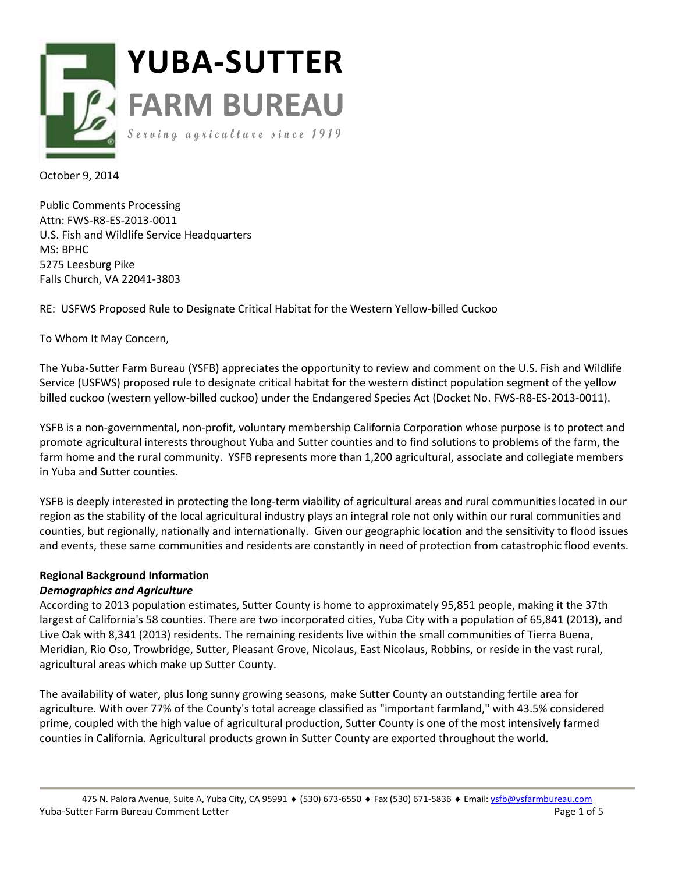

October 9, 2014

Public Comments Processing Attn: FWS-R8-ES-2013-0011 U.S. Fish and Wildlife Service Headquarters MS: BPHC 5275 Leesburg Pike Falls Church, VA 22041-3803

RE: USFWS Proposed Rule to Designate Critical Habitat for the Western Yellow-billed Cuckoo

To Whom It May Concern,

The Yuba-Sutter Farm Bureau (YSFB) appreciates the opportunity to review and comment on the U.S. Fish and Wildlife Service (USFWS) proposed rule to designate critical habitat for the western distinct population segment of the yellow billed cuckoo (western yellow-billed cuckoo) under the Endangered Species Act (Docket No. FWS-R8-ES-2013-0011).

YSFB is a non-governmental, non-profit, voluntary membership California Corporation whose purpose is to protect and promote agricultural interests throughout Yuba and Sutter counties and to find solutions to problems of the farm, the farm home and the rural community. YSFB represents more than 1,200 agricultural, associate and collegiate members in Yuba and Sutter counties.

YSFB is deeply interested in protecting the long-term viability of agricultural areas and rural communities located in our region as the stability of the local agricultural industry plays an integral role not only within our rural communities and counties, but regionally, nationally and internationally. Given our geographic location and the sensitivity to flood issues and events, these same communities and residents are constantly in need of protection from catastrophic flood events.

# **Regional Background Information**

## *Demographics and Agriculture*

According to 2013 population estimates, Sutter County is home to approximately 95,851 people, making it the 37th largest of California's 58 counties. There are two incorporated cities, Yuba City with a population of 65,841 (2013), and Live Oak with 8,341 (2013) residents. The remaining residents live within the small communities of Tierra Buena, Meridian, Rio Oso, Trowbridge, Sutter, Pleasant Grove, Nicolaus, East Nicolaus, Robbins, or reside in the vast rural, agricultural areas which make up Sutter County.

The availability of water, plus long sunny growing seasons, make Sutter County an outstanding fertile area for agriculture. With over 77% of the County's total acreage classified as "important farmland," with 43.5% considered prime, coupled with the high value of agricultural production, Sutter County is one of the most intensively farmed counties in California. Agricultural products grown in Sutter County are exported throughout the world.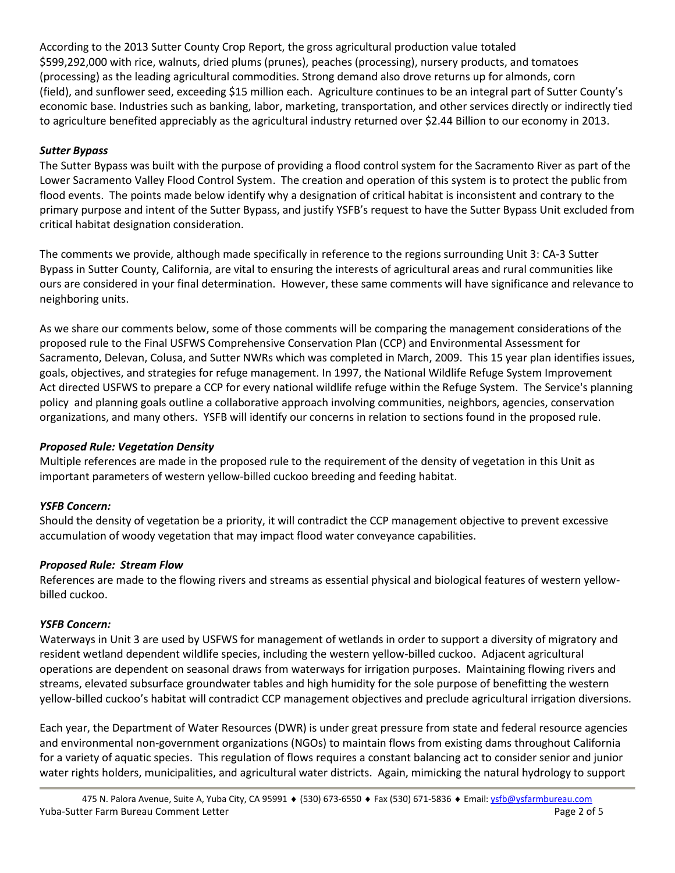According to the 2013 Sutter County Crop Report, the gross agricultural production value totaled \$599,292,000 with rice, walnuts, dried plums (prunes), peaches (processing), nursery products, and tomatoes (processing) as the leading agricultural commodities. Strong demand also drove returns up for almonds, corn (field), and sunflower seed, exceeding \$15 million each. Agriculture continues to be an integral part of Sutter County's economic base. Industries such as banking, labor, marketing, transportation, and other services directly or indirectly tied to agriculture benefited appreciably as the agricultural industry returned over \$2.44 Billion to our economy in 2013.

## *Sutter Bypass*

The Sutter Bypass was built with the purpose of providing a flood control system for the Sacramento River as part of the [Lower Sacramento Valley Flood Control System.](http://en.wikipedia.org/wiki/Flood_Control_Act_of_1928#Section_13:_Sacramento_River_flood_control) The creation and operation of this system is to protect the public from flood events. The points made below identify why a designation of critical habitat is inconsistent and contrary to the primary purpose and intent of the Sutter Bypass, and justify YSFB's request to have the Sutter Bypass Unit excluded from critical habitat designation consideration.

The comments we provide, although made specifically in reference to the regions surrounding Unit 3: CA-3 Sutter Bypass in Sutter County, California, are vital to ensuring the interests of agricultural areas and rural communities like ours are considered in your final determination. However, these same comments will have significance and relevance to neighboring units.

As we share our comments below, some of those comments will be comparing the management considerations of the proposed rule to the Final USFWS Comprehensive Conservation Plan (CCP) and Environmental Assessment for Sacramento, Delevan, Colusa, and Sutter NWRs which was completed in March, 2009. This 15 year plan identifies issues, goals, objectives, and strategies for refuge management. In 1997, the National Wildlife Refuge System [Improvement](http://www.fws.gov/refuge/sacramento/NationalWildlifeRefugeImprovementAct.html) [Act](http://www.fws.gov/refuge/sacramento/NationalWildlifeRefugeImprovementAct.html) directed USFWS to prepare a CCP for every national wildlife refuge within the Refuge System. The Service's [planning](http://www.fws.gov/policy/library/00fr33891.pdf) [policy](http://www.fws.gov/policy/library/00fr33891.pdf) and [planning](http://www.fws.gov/policy/602fw3.html) goals outline a collaborative approach involving communities, neighbors, agencies, conservation organizations, and many others. YSFB will identify our concerns in relation to sections found in the proposed rule.

### *Proposed Rule: Vegetation Density*

Multiple references are made in the proposed rule to the requirement of the density of vegetation in this Unit as important parameters of western yellow-billed cuckoo breeding and feeding habitat.

## *YSFB Concern:*

Should the density of vegetation be a priority, it will contradict the CCP management objective to prevent excessive accumulation of woody vegetation that may impact flood water conveyance capabilities.

### *Proposed Rule: Stream Flow*

References are made to the flowing rivers and streams as essential physical and biological features of western yellowbilled cuckoo.

### *YSFB Concern:*

Waterways in Unit 3 are used by USFWS for management of wetlands in order to support a diversity of migratory and resident wetland dependent wildlife species, including the western yellow-billed cuckoo. Adjacent agricultural operations are dependent on seasonal draws from waterways for irrigation purposes. Maintaining flowing rivers and streams, elevated subsurface groundwater tables and high humidity for the sole purpose of benefitting the western yellow-billed cuckoo's habitat will contradict CCP management objectives and preclude agricultural irrigation diversions.

Each year, the Department of Water Resources (DWR) is under great pressure from state and federal resource agencies and environmental non-government organizations (NGOs) to maintain flows from existing dams throughout California for a variety of aquatic species. This regulation of flows requires a constant balancing act to consider senior and junior water rights holders, municipalities, and agricultural water districts. Again, mimicking the natural hydrology to support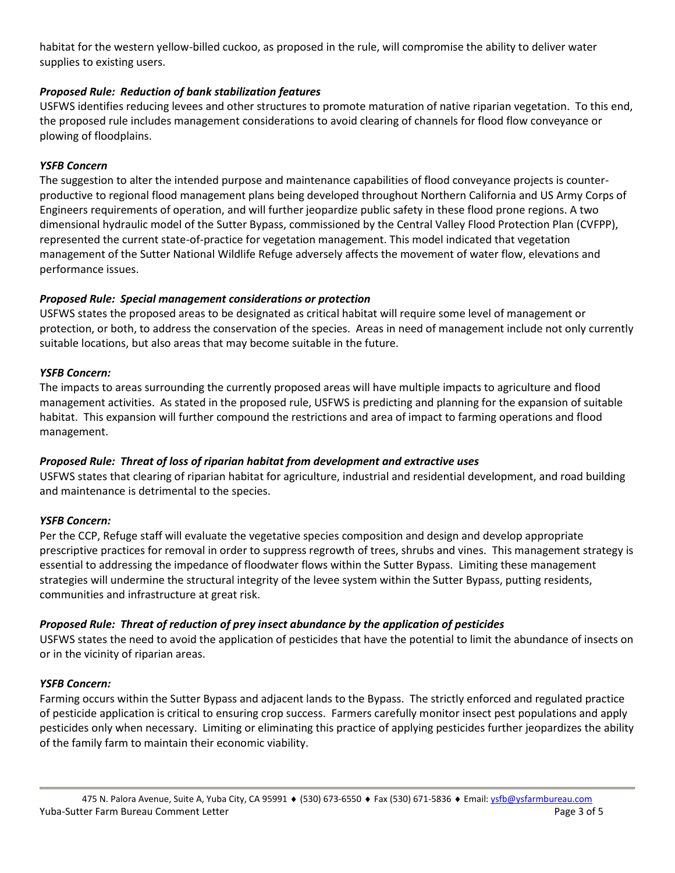habitat for the western yellow-billed cuckoo, as proposed in the rule, will compromise the ability to deliver water supplies to existing users.

## *Proposed Rule: Reduction of bank stabilization features*

USFWS identifies reducing levees and other structures to promote maturation of native riparian vegetation. To this end, the proposed rule includes management considerations to avoid clearing of channels for flood flow conveyance or plowing of floodplains.

### *YSFB Concern*

The suggestion to alter the intended purpose and maintenance capabilities of flood conveyance projects is counterproductive to regional flood management plans being developed throughout Northern California and US Army Corps of Engineers requirements of operation, and will further jeopardize public safety in these flood prone regions. A two dimensional hydraulic model of the Sutter Bypass, commissioned by the Central Valley Flood Protection Plan (CVFPP), represented the current state-of-practice for vegetation management. This model indicated that vegetation management of the Sutter National Wildlife Refuge adversely affects the movement of water flow, elevations and performance issues.

### *Proposed Rule: Special management considerations or protection*

USFWS states the proposed areas to be designated as critical habitat will require some level of management or protection, or both, to address the conservation of the species. Areas in need of management include not only currently suitable locations, but also areas that may become suitable in the future.

### *YSFB Concern:*

The impacts to areas surrounding the currently proposed areas will have multiple impacts to agriculture and flood management activities. As stated in the proposed rule, USFWS is predicting and planning for the expansion of suitable habitat. This expansion will further compound the restrictions and area of impact to farming operations and flood management.

## *Proposed Rule: Threat of loss of riparian habitat from development and extractive uses*

USFWS states that clearing of riparian habitat for agriculture, industrial and residential development, and road building and maintenance is detrimental to the species.

## *YSFB Concern:*

Per the CCP, Refuge staff will evaluate the vegetative species composition and design and develop appropriate prescriptive practices for removal in order to suppress regrowth of trees, shrubs and vines. This management strategy is essential to addressing the impedance of floodwater flows within the Sutter Bypass. Limiting these management strategies will undermine the structural integrity of the levee system within the Sutter Bypass, putting residents, communities and infrastructure at great risk.

### *Proposed Rule: Threat of reduction of prey insect abundance by the application of pesticides*

USFWS states the need to avoid the application of pesticides that have the potential to limit the abundance of insects on or in the vicinity of riparian areas.

### *YSFB Concern:*

Farming occurs within the Sutter Bypass and adjacent lands to the Bypass. The strictly enforced and regulated practice of pesticide application is critical to ensuring crop success. Farmers carefully monitor insect pest populations and apply pesticides only when necessary. Limiting or eliminating this practice of applying pesticides further jeopardizes the ability of the family farm to maintain their economic viability.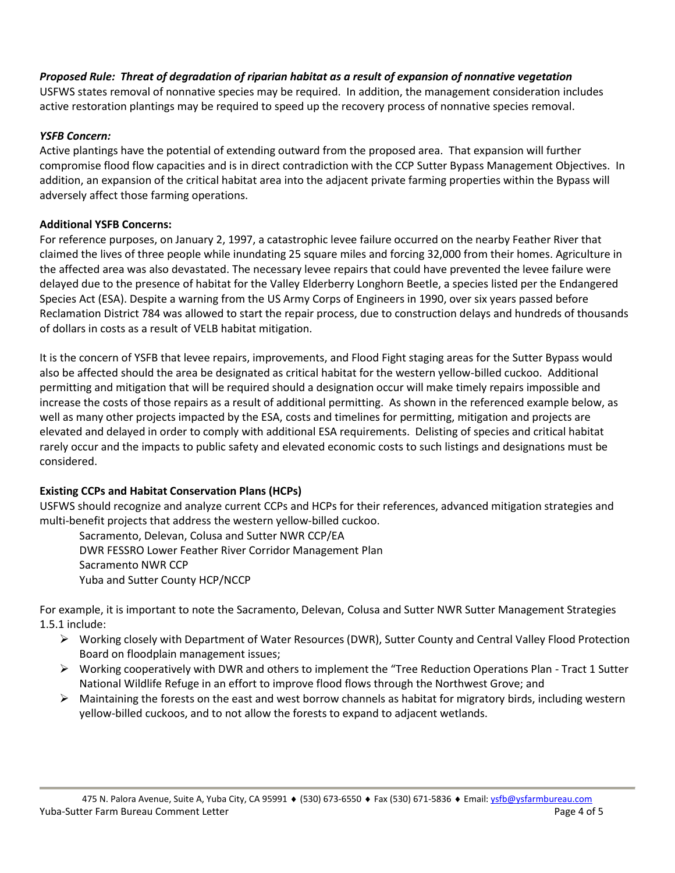## *Proposed Rule: Threat of degradation of riparian habitat as a result of expansion of nonnative vegetation*

USFWS states removal of nonnative species may be required. In addition, the management consideration includes active restoration plantings may be required to speed up the recovery process of nonnative species removal.

### *YSFB Concern:*

Active plantings have the potential of extending outward from the proposed area. That expansion will further compromise flood flow capacities and is in direct contradiction with the CCP Sutter Bypass Management Objectives. In addition, an expansion of the critical habitat area into the adjacent private farming properties within the Bypass will adversely affect those farming operations.

### **Additional YSFB Concerns:**

For reference purposes, on January 2, 1997, a catastrophic levee failure occurred on the nearby Feather River that claimed the lives of three people while inundating 25 square miles and forcing 32,000 from their homes. Agriculture in the affected area was also devastated. The necessary levee repairs that could have prevented the levee failure were delayed due to the presence of habitat for the Valley Elderberry Longhorn Beetle, a species listed per the Endangered Species Act (ESA). Despite a warning from the US Army Corps of Engineers in 1990, over six years passed before Reclamation District 784 was allowed to start the repair process, due to construction delays and hundreds of thousands of dollars in costs as a result of VELB habitat mitigation.

It is the concern of YSFB that levee repairs, improvements, and Flood Fight staging areas for the Sutter Bypass would also be affected should the area be designated as critical habitat for the western yellow-billed cuckoo. Additional permitting and mitigation that will be required should a designation occur will make timely repairs impossible and increase the costs of those repairs as a result of additional permitting. As shown in the referenced example below, as well as many other projects impacted by the ESA, costs and timelines for permitting, mitigation and projects are elevated and delayed in order to comply with additional ESA requirements. Delisting of species and critical habitat rarely occur and the impacts to public safety and elevated economic costs to such listings and designations must be considered.

## **Existing CCPs and Habitat Conservation Plans (HCPs)**

USFWS should recognize and analyze current CCPs and HCPs for their references, advanced mitigation strategies and multi-benefit projects that address the western yellow-billed cuckoo.

Sacramento, Delevan, Colusa and Sutter NWR CCP/EA DWR FESSRO Lower Feather River Corridor Management Plan Sacramento NWR CCP Yuba and Sutter County HCP/NCCP

For example, it is important to note the Sacramento, Delevan, Colusa and Sutter NWR Sutter Management Strategies 1.5.1 include:

- Working closely with Department of Water Resources (DWR), Sutter County and Central Valley Flood Protection Board on floodplain management issues;
- $\triangleright$  Working cooperatively with DWR and others to implement the "Tree Reduction Operations Plan Tract 1 Sutter National Wildlife Refuge in an effort to improve flood flows through the Northwest Grove; and
- $\triangleright$  Maintaining the forests on the east and west borrow channels as habitat for migratory birds, including western yellow-billed cuckoos, and to not allow the forests to expand to adjacent wetlands.